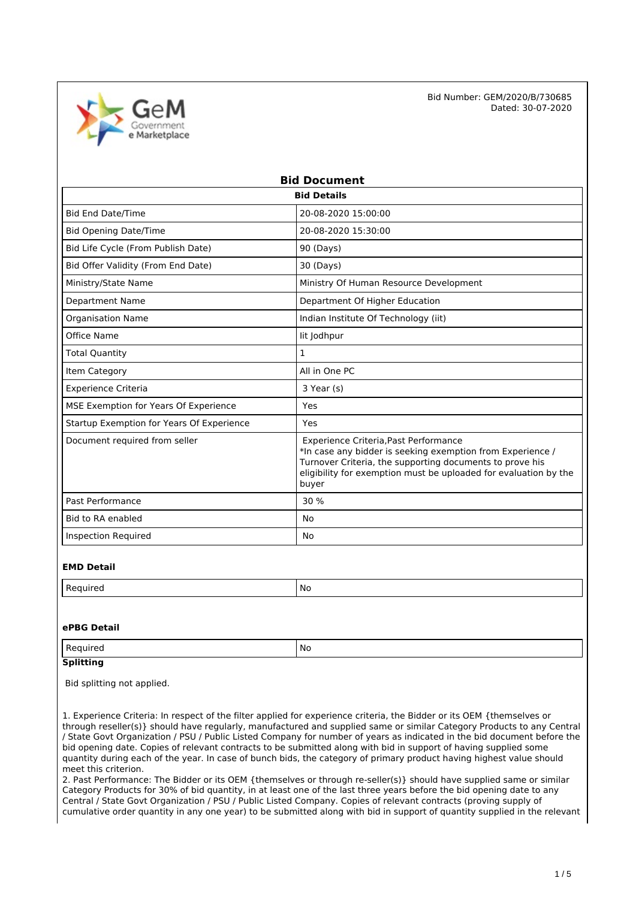

| <b>Bid Document</b>                       |                                                                                                                                                                                                                                              |  |  |
|-------------------------------------------|----------------------------------------------------------------------------------------------------------------------------------------------------------------------------------------------------------------------------------------------|--|--|
|                                           | <b>Bid Details</b>                                                                                                                                                                                                                           |  |  |
| <b>Bid End Date/Time</b>                  | 20-08-2020 15:00:00                                                                                                                                                                                                                          |  |  |
| <b>Bid Opening Date/Time</b>              | 20-08-2020 15:30:00                                                                                                                                                                                                                          |  |  |
| Bid Life Cycle (From Publish Date)        | 90 (Days)                                                                                                                                                                                                                                    |  |  |
| Bid Offer Validity (From End Date)        | 30 (Days)                                                                                                                                                                                                                                    |  |  |
| Ministry/State Name                       | Ministry Of Human Resource Development                                                                                                                                                                                                       |  |  |
| <b>Department Name</b>                    | Department Of Higher Education                                                                                                                                                                                                               |  |  |
| <b>Organisation Name</b>                  | Indian Institute Of Technology (iit)                                                                                                                                                                                                         |  |  |
| Office Name                               | lit Jodhpur                                                                                                                                                                                                                                  |  |  |
| <b>Total Quantity</b>                     | 1                                                                                                                                                                                                                                            |  |  |
| Item Category                             | All in One PC                                                                                                                                                                                                                                |  |  |
| <b>Experience Criteria</b>                | 3 Year (s)                                                                                                                                                                                                                                   |  |  |
| MSE Exemption for Years Of Experience     | Yes                                                                                                                                                                                                                                          |  |  |
| Startup Exemption for Years Of Experience | Yes                                                                                                                                                                                                                                          |  |  |
| Document required from seller             | Experience Criteria, Past Performance<br>*In case any bidder is seeking exemption from Experience /<br>Turnover Criteria, the supporting documents to prove his<br>eligibility for exemption must be uploaded for evaluation by the<br>buyer |  |  |
| Past Performance                          | 30%                                                                                                                                                                                                                                          |  |  |
| <b>Bid to RA enabled</b>                  | <b>No</b>                                                                                                                                                                                                                                    |  |  |
| <b>Inspection Required</b>                | No                                                                                                                                                                                                                                           |  |  |

### **EMD Detail**

| M. |
|----|
|    |

### **ePBG Detail**

| Regi<br>⊔rer<br>$\sim$ | No |
|------------------------|----|
|                        |    |

## **Splitting**

Bid splitting not applied.

1. Experience Criteria: In respect of the filter applied for experience criteria, the Bidder or its OEM {themselves or through reseller(s)} should have regularly, manufactured and supplied same or similar Category Products to any Central / State Govt Organization / PSU / Public Listed Company for number of years as indicated in the bid document before the bid opening date. Copies of relevant contracts to be submitted along with bid in support of having supplied some quantity during each of the year. In case of bunch bids, the category of primary product having highest value should meet this criterion.

2. Past Performance: The Bidder or its OEM {themselves or through re-seller(s)} should have supplied same or similar Category Products for 30% of bid quantity, in at least one of the last three years before the bid opening date to any Central / State Govt Organization / PSU / Public Listed Company. Copies of relevant contracts (proving supply of cumulative order quantity in any one year) to be submitted along with bid in support of quantity supplied in the relevant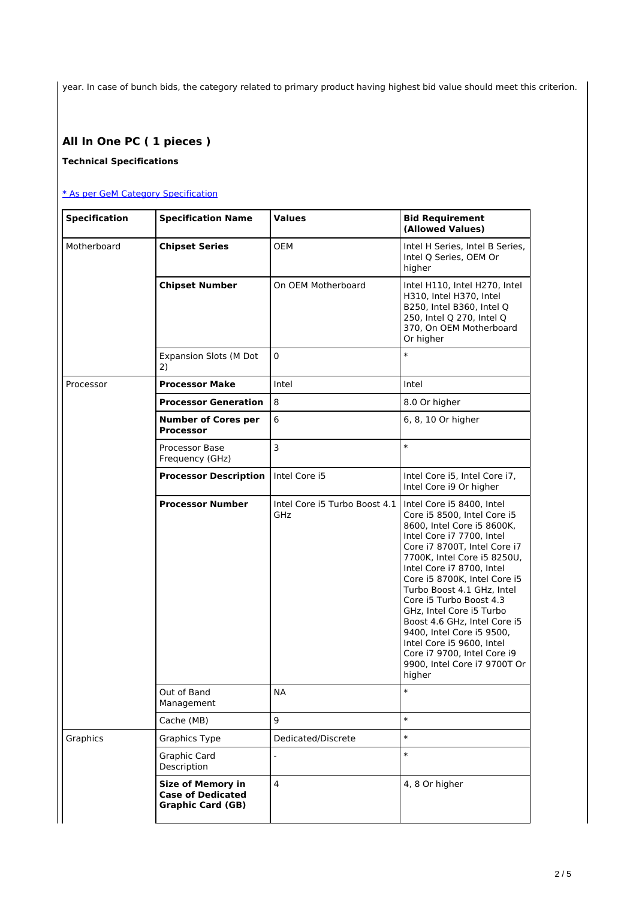year. In case of bunch bids, the category related to primary product having highest bid value should meet this criterion.

# **All In One PC ( 1 pieces )**

### **Technical Specifications**

### [\\* As per GeM Category Specification](https://bidplus.gem.gov.in/bidding/bid/showCatalogue/wEdLNAOIRCwUtzW3HuewGK4miBkXjVbBtAIMa-CvzoE)

| <b>Specification</b> | <b>Specification Name</b>                                                        | <b>Values</b>                        | <b>Bid Requirement</b><br>(Allowed Values)                                                                                                                                                                                                                                                                                                                                                                                                                                                              |
|----------------------|----------------------------------------------------------------------------------|--------------------------------------|---------------------------------------------------------------------------------------------------------------------------------------------------------------------------------------------------------------------------------------------------------------------------------------------------------------------------------------------------------------------------------------------------------------------------------------------------------------------------------------------------------|
| Motherboard          | <b>Chipset Series</b>                                                            | <b>OEM</b>                           | Intel H Series, Intel B Series,<br>Intel Q Series, OEM Or<br>higher                                                                                                                                                                                                                                                                                                                                                                                                                                     |
|                      | <b>Chipset Number</b>                                                            | On OEM Motherboard                   | Intel H110, Intel H270, Intel<br>H310, Intel H370, Intel<br>B250, Intel B360, Intel Q<br>250, Intel Q 270, Intel Q<br>370, On OEM Motherboard<br>Or higher                                                                                                                                                                                                                                                                                                                                              |
|                      | <b>Expansion Slots (M Dot</b><br>2)                                              | $\mathbf 0$                          | $\ast$                                                                                                                                                                                                                                                                                                                                                                                                                                                                                                  |
| Processor            | <b>Processor Make</b>                                                            | Intel                                | Intel                                                                                                                                                                                                                                                                                                                                                                                                                                                                                                   |
|                      | <b>Processor Generation</b>                                                      | 8                                    | 8.0 Or higher                                                                                                                                                                                                                                                                                                                                                                                                                                                                                           |
|                      | <b>Number of Cores per</b><br><b>Processor</b>                                   | 6                                    | 6, 8, 10 Or higher                                                                                                                                                                                                                                                                                                                                                                                                                                                                                      |
|                      | Processor Base<br>Frequency (GHz)                                                | $\overline{\mathbf{3}}$              | $\ast$                                                                                                                                                                                                                                                                                                                                                                                                                                                                                                  |
|                      | <b>Processor Description</b>                                                     | Intel Core i5                        | Intel Core i5, Intel Core i7,<br>Intel Core i9 Or higher                                                                                                                                                                                                                                                                                                                                                                                                                                                |
|                      | <b>Processor Number</b>                                                          | Intel Core i5 Turbo Boost 4.1<br>GHz | Intel Core i5 8400, Intel<br>Core i5 8500, Intel Core i5<br>8600, Intel Core i5 8600K,<br>Intel Core i7 7700, Intel<br>Core i7 8700T, Intel Core i7<br>7700K, Intel Core i5 8250U,<br>Intel Core i7 8700, Intel<br>Core i5 8700K, Intel Core i5<br>Turbo Boost 4.1 GHz, Intel<br>Core i5 Turbo Boost 4.3<br>GHz, Intel Core i5 Turbo<br>Boost 4.6 GHz, Intel Core i5<br>9400, Intel Core i5 9500,<br>Intel Core i5 9600, Intel<br>Core i7 9700, Intel Core i9<br>9900, Intel Core i7 9700T Or<br>higher |
|                      | Out of Band<br>Management                                                        | <b>NA</b>                            | $\ast$                                                                                                                                                                                                                                                                                                                                                                                                                                                                                                  |
|                      | Cache (MB)                                                                       | 9                                    | $\ast$                                                                                                                                                                                                                                                                                                                                                                                                                                                                                                  |
| Graphics             | <b>Graphics Type</b>                                                             | Dedicated/Discrete                   | $\ast$                                                                                                                                                                                                                                                                                                                                                                                                                                                                                                  |
|                      | Graphic Card<br>Description                                                      | $\overline{a}$                       | $\ast$                                                                                                                                                                                                                                                                                                                                                                                                                                                                                                  |
|                      | <b>Size of Memory in</b><br><b>Case of Dedicated</b><br><b>Graphic Card (GB)</b> | $\overline{4}$                       | 4, 8 Or higher                                                                                                                                                                                                                                                                                                                                                                                                                                                                                          |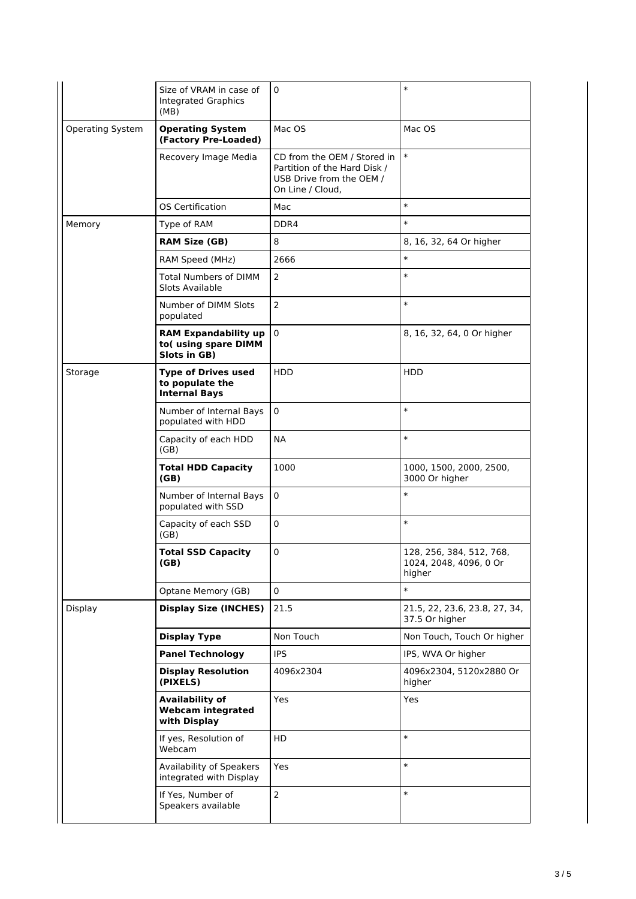|                  | Size of VRAM in case of<br><b>Integrated Graphics</b><br>(MB)         | 0                                                                                                           | $\ast$                                                       |
|------------------|-----------------------------------------------------------------------|-------------------------------------------------------------------------------------------------------------|--------------------------------------------------------------|
| Operating System | <b>Operating System</b><br>(Factory Pre-Loaded)                       | Mac OS                                                                                                      | Mac OS                                                       |
|                  | Recovery Image Media                                                  | CD from the OEM / Stored in<br>Partition of the Hard Disk /<br>USB Drive from the OEM /<br>On Line / Cloud, | $\ast$                                                       |
|                  | OS Certification                                                      | Mac                                                                                                         | $\ast$                                                       |
| Memory           | Type of RAM                                                           | DDR4                                                                                                        | $\ast$                                                       |
|                  | <b>RAM Size (GB)</b>                                                  | 8                                                                                                           | 8, 16, 32, 64 Or higher                                      |
|                  | RAM Speed (MHz)                                                       | 2666                                                                                                        | $\ast$                                                       |
|                  | <b>Total Numbers of DIMM</b><br>Slots Available                       | $\overline{2}$                                                                                              | $\ast$                                                       |
|                  | Number of DIMM Slots<br>populated                                     | $\overline{2}$                                                                                              | $\ast$                                                       |
|                  | <b>RAM Expandability up</b><br>to(using spare DIMM<br>Slots in GB)    | $\mathbf 0$                                                                                                 | 8, 16, 32, 64, 0 Or higher                                   |
| Storage          | <b>Type of Drives used</b><br>to populate the<br><b>Internal Bays</b> | <b>HDD</b>                                                                                                  | <b>HDD</b>                                                   |
|                  | Number of Internal Bays<br>populated with HDD                         | 0                                                                                                           | $\ast$                                                       |
|                  | Capacity of each HDD<br>(GB)                                          | NА                                                                                                          | $\ast$                                                       |
|                  | <b>Total HDD Capacity</b><br>(GB)                                     | 1000                                                                                                        | 1000, 1500, 2000, 2500,<br>3000 Or higher                    |
|                  | Number of Internal Bays<br>populated with SSD                         | 0                                                                                                           | $\ast$                                                       |
|                  | Capacity of each SSD<br>(GB)                                          | 0                                                                                                           | $\ast$                                                       |
|                  | <b>Total SSD Capacity</b><br>(GB)                                     | 0                                                                                                           | 128, 256, 384, 512, 768,<br>1024, 2048, 4096, 0 Or<br>higher |
|                  | Optane Memory (GB)                                                    | $\mathbf 0$                                                                                                 | $\ast$                                                       |
| Display          | <b>Display Size (INCHES)</b>                                          | 21.5                                                                                                        | 21.5, 22, 23.6, 23.8, 27, 34,<br>37.5 Or higher              |
|                  | <b>Display Type</b>                                                   | Non Touch                                                                                                   | Non Touch, Touch Or higher                                   |
|                  | <b>Panel Technology</b>                                               | <b>IPS</b>                                                                                                  | IPS, WVA Or higher                                           |
|                  | <b>Display Resolution</b><br>(PIXELS)                                 | 4096x2304                                                                                                   | 4096x2304, 5120x2880 Or<br>higher                            |
|                  | <b>Availability of</b><br><b>Webcam integrated</b><br>with Display    | Yes                                                                                                         | Yes                                                          |
|                  | If yes, Resolution of<br>Webcam                                       | HD                                                                                                          | $\ast$                                                       |
|                  | Availability of Speakers<br>integrated with Display                   | Yes                                                                                                         | $\ast$                                                       |
|                  | If Yes, Number of<br>Speakers available                               | $\overline{2}$                                                                                              | $\ast$                                                       |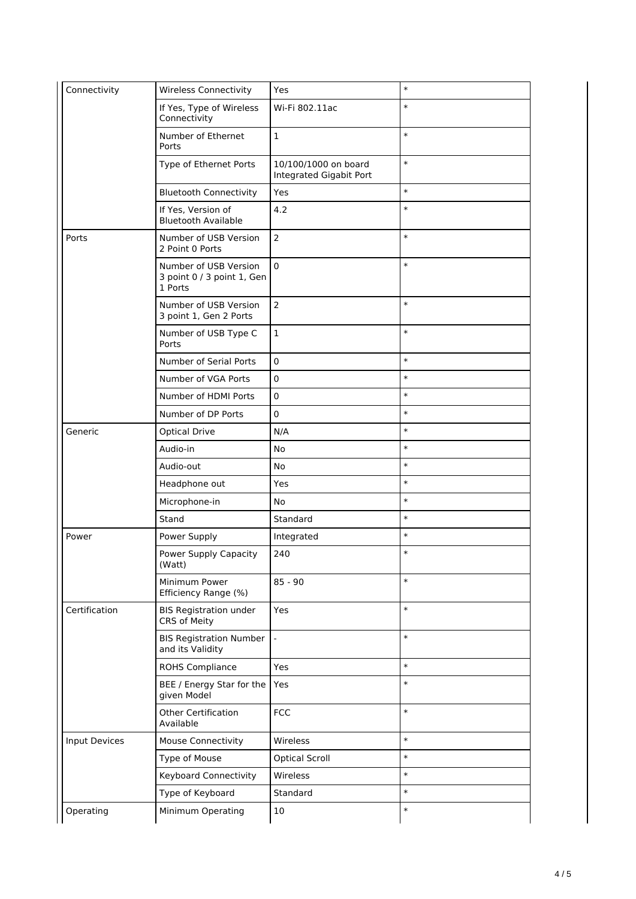| Connectivity  | <b>Wireless Connectivity</b>                                   | Yes                                             | $\ast$ |
|---------------|----------------------------------------------------------------|-------------------------------------------------|--------|
|               | If Yes, Type of Wireless<br>Connectivity                       | Wi-Fi 802.11ac                                  | $\ast$ |
|               | Number of Ethernet<br>Ports                                    | $\mathbf 1$                                     | $\ast$ |
|               | Type of Ethernet Ports                                         | 10/100/1000 on board<br>Integrated Gigabit Port | $\ast$ |
|               | <b>Bluetooth Connectivity</b>                                  | Yes                                             | $\ast$ |
|               | If Yes, Version of<br><b>Bluetooth Available</b>               | 4.2                                             | $\ast$ |
| Ports         | Number of USB Version<br>2 Point 0 Ports                       | $\overline{2}$                                  | $\ast$ |
|               | Number of USB Version<br>3 point 0 / 3 point 1, Gen<br>1 Ports | $\pmb{0}$                                       | $\ast$ |
|               | Number of USB Version<br>3 point 1, Gen 2 Ports                | $\overline{2}$                                  | $\ast$ |
|               | Number of USB Type C<br>Ports                                  | $\mathbf 1$                                     | $\ast$ |
|               | Number of Serial Ports                                         | 0                                               | $\ast$ |
|               | Number of VGA Ports                                            | 0                                               | $\ast$ |
|               | Number of HDMI Ports                                           | 0                                               | $\ast$ |
|               | Number of DP Ports                                             | $\mathbf 0$                                     | $\ast$ |
| Generic       | <b>Optical Drive</b>                                           | N/A                                             | $\ast$ |
|               | Audio-in                                                       | No                                              | $\ast$ |
|               | Audio-out                                                      | No                                              | $\ast$ |
|               | Headphone out                                                  | Yes                                             | $\ast$ |
|               | Microphone-in                                                  | No                                              | $\ast$ |
|               | Stand                                                          | Standard                                        | $\ast$ |
| Power         | Power Supply                                                   | Integrated                                      | $\ast$ |
|               | Power Supply Capacity<br>(Watt)                                | 240                                             | $\ast$ |
|               | Minimum Power<br>Efficiency Range (%)                          | $85 - 90$                                       | $\ast$ |
| Certification | <b>BIS Registration under</b><br>CRS of Meity                  | Yes                                             | $\ast$ |
|               | <b>BIS Registration Number</b><br>and its Validity             |                                                 | $\ast$ |
|               | <b>ROHS Compliance</b>                                         | Yes                                             | $\ast$ |
|               | BEE / Energy Star for the<br>given Model                       | Yes                                             | $\ast$ |
|               | <b>Other Certification</b><br>Available                        | <b>FCC</b>                                      | $\ast$ |
| Input Devices | <b>Mouse Connectivity</b>                                      | Wireless                                        | $\ast$ |
|               | Type of Mouse                                                  | <b>Optical Scroll</b>                           | $\ast$ |
|               | <b>Keyboard Connectivity</b>                                   | Wireless                                        | $\ast$ |
|               | Type of Keyboard                                               | Standard                                        | $\ast$ |
| Operating     | Minimum Operating                                              | 10                                              | $\ast$ |